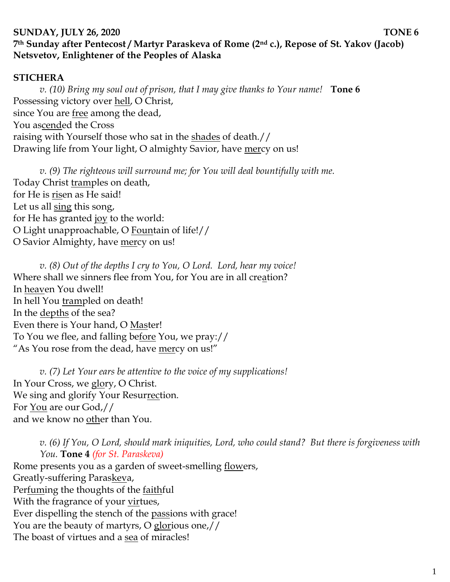## **SUNDAY, JULY 26, 2020 TONE 6 7th Sunday after Pentecost / Martyr Paraskeva of Rome (2nd c.), Repose of St. Yakov (Jacob) Netsvetov, Enlightener of the Peoples of Alaska**

## **STICHERA**

*v. (10) Bring my soul out of prison, that I may give thanks to Your name!* **Tone 6** Possessing victory over hell, O Christ, since You are free among the dead, You ascended the Cross raising with Yourself those who sat in the shades of death.// Drawing life from Your light, O almighty Savior, have mercy on us!

*v. (9) The righteous will surround me; for You will deal bountifully with me.*  Today Christ tramples on death, for He is risen as He said! Let us all sing this song, for He has granted joy to the world: O Light unapproachable, O Fountain of life!// O Savior Almighty, have mercy on us!

*v. (8) Out of the depths I cry to You, O Lord. Lord, hear my voice!*  Where shall we sinners flee from You, for You are in all creation? In heaven You dwell! In hell You trampled on death! In the <u>depths</u> of the sea? Even there is Your hand, O Master! To You we flee, and falling before You, we pray:// "As You rose from the dead, have mercy on us!"

*v. (7) Let Your ears be attentive to the voice of my supplications!* In Your Cross, we glory, O Christ. We sing and glorify Your Resurrection. For You are our God,// and we know no other than You.

*v. (6) If You, O Lord, should mark iniquities, Lord, who could stand? But there is forgiveness with You.* **Tone 4** *(for St. Paraskeva)* Rome presents you as a garden of sweet-smelling flowers, Greatly-suffering Paraskeva, Perfuming the thoughts of the faithful With the fragrance of your virtues, Ever dispelling the stench of the passions with grace! You are the beauty of martyrs, O glorious one,//

The boast of virtues and a sea of miracles!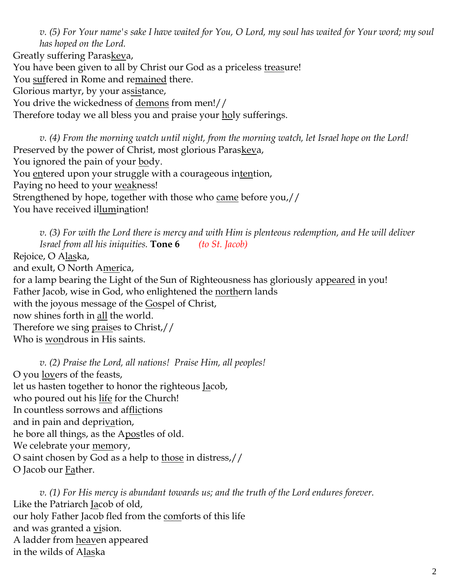*v. (5) For Your name's sake I have waited for You, O Lord, my soul has waited for Your word; my soul has hoped on the Lord.* 

Greatly suffering Paraskeva,

You have been given to all by Christ our God as a priceless treasure!

You suffered in Rome and remained there.

Glorious martyr, by your assistance,

You drive the wickedness of demons from men!//

Therefore today we all bless you and praise your holy sufferings.

*v. (4) From the morning watch until night, from the morning watch, let Israel hope on the Lord!*  Preserved by the power of Christ, most glorious Paraskeva, You ignored the pain of your body. You entered upon your struggle with a courageous intention, Paying no heed to your weakness! Strengthened by hope, together with those who came before you,// You have received illumination!

*v. (3) For with the Lord there is mercy and with Him is plenteous redemption, and He will deliver Israel from all his iniquities.* **Tone 6** *(to St. Jacob)* Rejoice, O Alaska, and exult, O North America, for a lamp bearing the Light of the Sun of Righteousness has gloriously appeared in you! Father Jacob, wise in God, who enlightened the northern lands with the joyous message of the Gospel of Christ, now shines forth in all the world. Therefore we sing praises to Christ,// Who is wondrous in His saints.

*v. (2) Praise the Lord, all nations! Praise Him, all peoples!* O you lovers of the feasts, let us hasten together to honor the righteous Jacob, who poured out his life for the Church! In countless sorrows and afflictions and in pain and deprivation, he bore all things, as the Apostles of old. We celebrate your memory, O saint chosen by God as a help to those in distress,// O Jacob our Father.

*v. (1) For His mercy is abundant towards us; and the truth of the Lord endures forever.*  Like the Patriarch Jacob of old, our holy Father Jacob fled from the comforts of this life and was granted a <u>vi</u>sion. A ladder from heaven appeared in the wilds of Alaska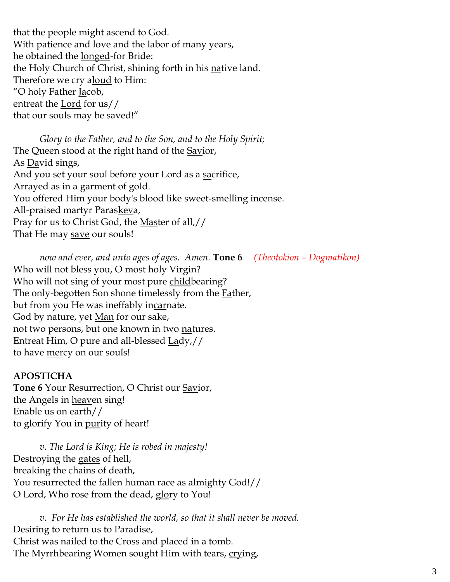that the people might ascend to God. With patience and love and the labor of many years, he obtained the longed-for Bride: the Holy Church of Christ, shining forth in his native land. Therefore we cry aloud to Him: "O holy Father <u>Ja</u>cob, entreat the Lord for us// that our souls may be saved!"

*Glory to the Father, and to the Son, and to the Holy Spirit;* The Queen stood at the right hand of the <u>Savi</u>or, As David sings, And you set your soul before your Lord as a sacrifice, Arrayed as in a garment of gold. You offered Him your body's blood like sweet-smelling <u>in</u>cense. All-praised martyr Paraskeva, Pray for us to Christ God, the Master of all,// That He may save our souls!

*now and ever, and unto ages of ages. Amen.* **Tone 6** *(Theotokion – Dogmatikon)* Who will not bless you, O most holy <u>Virg</u>in? Who will not sing of your most pure childbearing? The only-begotten Son shone timelessly from the **Father**, but from you He was ineffably incarnate. God by nature, yet <u>Man</u> for our sake, not two persons, but one known in two natures. Entreat Him, O pure and all-blessed Lady,// to have mercy on our souls!

## **APOSTICHA**

**Tone 6** Your Resurrection, O Christ our Savior, the Angels in heaven sing! Enable us on earth// to glorify You in <u>pur</u>ity of heart!

*v. The Lord is King; He is robed in majesty!*  Destroying the gates of hell, breaking the chains of death, You resurrected the fallen human race as al<u>might</u>y God!// O Lord, Who rose from the dead, glory to You!

*v. For He has established the world, so that it shall never be moved.* Desiring to return us to Paradise, Christ was nailed to the Cross and placed in a tomb. The Myrrhbearing Women sought Him with tears, crying,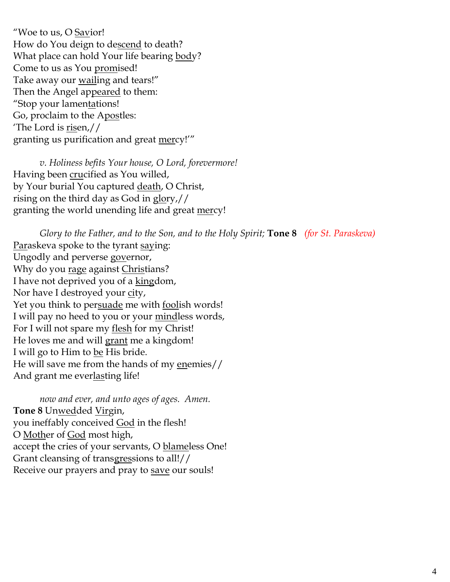"Woe to us, O Savior! How do You deign to descend to death? What place can hold Your life bearing body? Come to us as You promised! Take away our **wailling** and tears!" Then the Angel appeared to them: "Stop your lamentations! Go, proclaim to the Apostles: 'The Lord is  $\underline{\text{rise}}$ n,// granting us purification and great mercy!'"

*v. Holiness befits Your house, O Lord, forevermore!*  Having been crucified as You willed, by Your burial You captured death, O Christ, rising on the third day as God in glory,// granting the world unending life and great mercy!

*Glory to the Father, and to the Son, and to the Holy Spirit;* **Tone 8** *(for St. Paraskeva)* Paraskeva spoke to the tyrant saying: Ungodly and perverse governor, Why do you rage against Christians? I have not deprived you of a kingdom, Nor have I destroyed your city, Yet you think to persuade me with foolish words! I will pay no heed to you or your mindless words, For I will not spare my <u>flesh</u> for my Christ! He loves me and will grant me a kingdom! I will go to Him to be His bride. He will save me from the hands of my enemies// And grant me everlasting life!

*now and ever, and unto ages of ages. Amen.* **Tone 8** Unwedded Virgin, you ineffably conceived **God** in the flesh! O Mother of God most high, accept the cries of your servants, O blameless One! Grant cleansing of transgressions to all!// Receive our prayers and pray to save our souls!